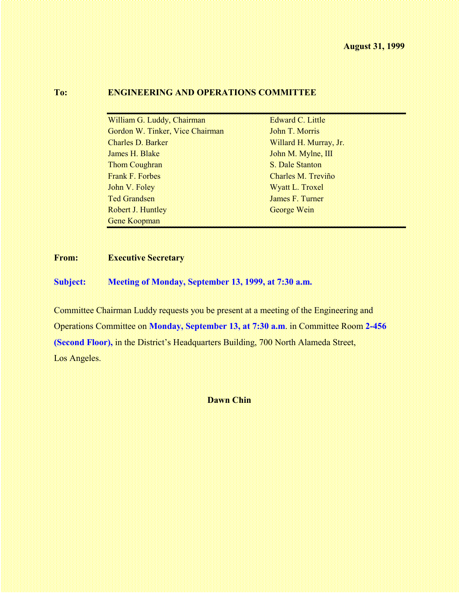## **To: ENGINEERING AND OPERATIONS COMMITTEE**

| William G. Luddy, Chairman      | <b>Edward C. Little</b> |  |
|---------------------------------|-------------------------|--|
| Gordon W. Tinker, Vice Chairman | John T. Morris          |  |
| <b>Charles D. Barker</b>        | Willard H. Murray, Jr.  |  |
| James H. Blake                  | John M. Mylne, III      |  |
| <b>Thom Coughran</b>            | S. Dale Stanton         |  |
| <b>Frank F. Forbes</b>          | Charles M. Treviño      |  |
| John V. Foley                   | Wyatt L. Troxel         |  |
| <b>Ted Grandsen</b>             | James F. Turner         |  |
| Robert J. Huntley               | George Wein             |  |
| Gene Koopman                    |                         |  |

## **From: Executive Secretary**

**Subject: Meeting of Monday, September 13, 1999, at 7:30 a.m.**

Committee Chairman Luddy requests you be present at a meeting of the Engineering and Operations Committee on **Monday, September 13, at 7:30 a.m**. in Committee Room **2-456 (Second Floor),** in the District's Headquarters Building, 700 North Alameda Street, Los Angeles.

#### **Dawn Chin**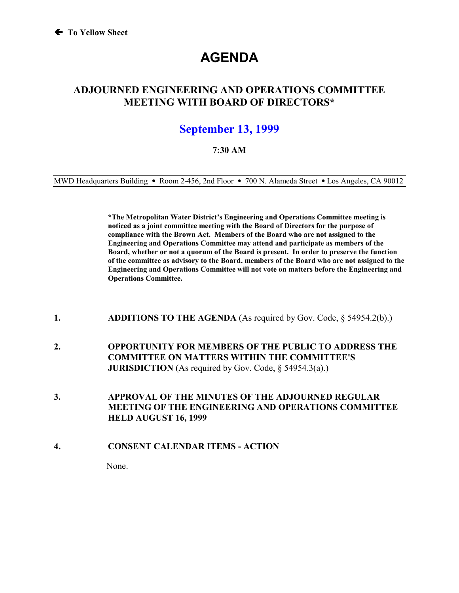# **AGENDA**

## **ADJOURNED ENGINEERING AND OPERATIONS COMMITTEE MEETING WITH BOARD OF DIRECTORS\***

## **September 13, 1999**

### **7:30 AM**

MWD Headquarters Building • Room 2-456, 2nd Floor • 700 N. Alameda Street • Los Angeles, CA 90012

**\*The Metropolitan Water District's Engineering and Operations Committee meeting is noticed as a joint committee meeting with the Board of Directors for the purpose of compliance with the Brown Act. Members of the Board who are not assigned to the Engineering and Operations Committee may attend and participate as members of the Board, whether or not a quorum of the Board is present. In order to preserve the function of the committee as advisory to the Board, members of the Board who are not assigned to the Engineering and Operations Committee will not vote on matters before the Engineering and Operations Committee.**

- **1. ADDITIONS TO THE AGENDA** (As required by Gov. Code, § 54954.2(b).)
- **2. OPPORTUNITY FOR MEMBERS OF THE PUBLIC TO ADDRESS THE COMMITTEE ON MATTERS WITHIN THE COMMITTEE'S JURISDICTION** (As required by Gov. Code, § 54954.3(a).)
- **3. APPROVAL OF THE MINUTES OF THE ADJOURNED REGULAR MEETING OF THE ENGINEERING AND OPERATIONS COMMITTEE HELD AUGUST 16, 1999**
- **4. CONSENT CALENDAR ITEMS ACTION**

None.